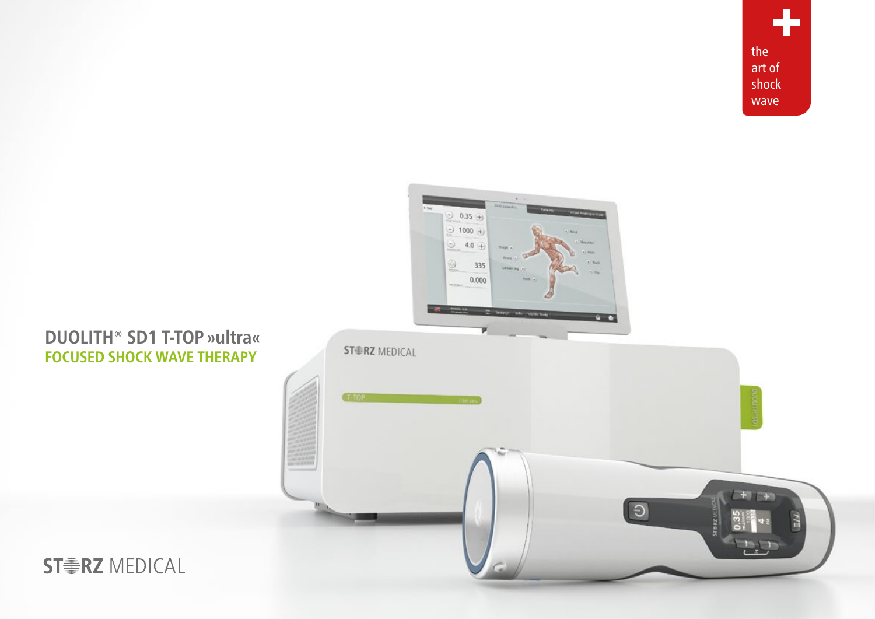



# **DUOLITH<sup>®</sup> SD1 T-TOP »ultra« FOCUSED SHOCK WAVE THERAPY**

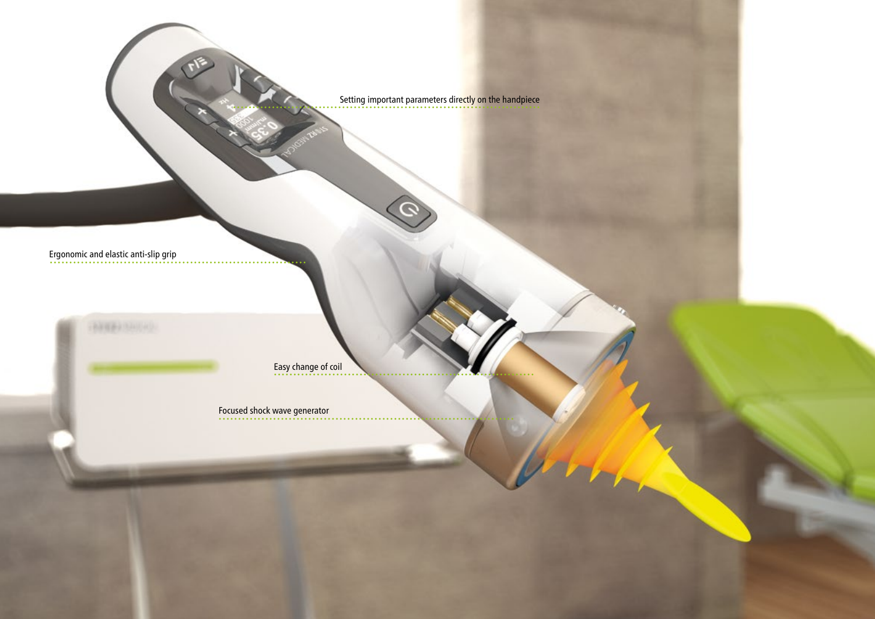Setting important parameters directly on the handpiece

Ergonomic and elastic anti-slip grip

おお宿番よりふけんり

Easy change of coil

Focused shock wave generator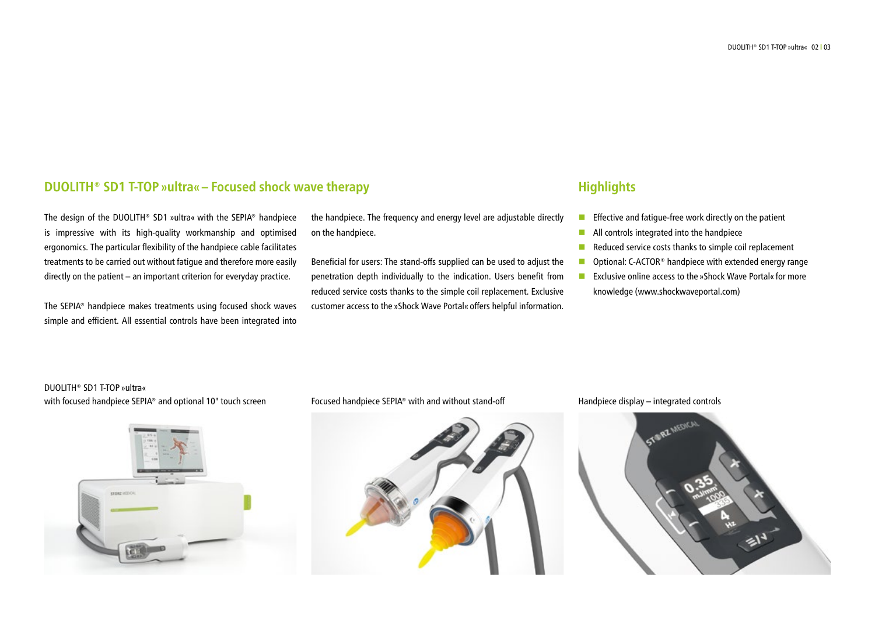## **DUOLITH® SD1 T-TOP »ultra« – Focused shock wave therapy and the state of the Highlights**

The design of the DUOLITH® SD1 »ultra« with the SEPIA® handpiece is impressive with its high-quality workmanship and optimised ergonomics. The particular flexibility of the handpiece cable facilitates treatments to be carried out without fatigue and therefore more easily directly on the patient – an important criterion for everyday practice.

The SEPIA® handpiece makes treatments using focused shock waves simple and efficient. All essential controls have been integrated into

the handpiece. The frequency and energy level are adjustable directly on the handpiece.

Beneficial for users: The stand-offs supplied can be used to adjust the penetration depth individually to the indication. Users benefit from reduced service costs thanks to the simple coil replacement. Exclusive customer access to the »Shock Wave Portal« offers helpful information.

- $\blacksquare$  Effective and fatigue-free work directly on the patient
- $\blacksquare$  All controls integrated into the handpiece
- $\blacksquare$  Reduced service costs thanks to simple coil replacement
- $\blacksquare$  Optional: C-ACTOR® handpiece with extended energy range
- $\blacksquare$  Exclusive online access to the »Shock Wave Portal« for more knowledge (www.shockwaveportal.com)

## DUOLITH® SD1 T-TOP »ultra«

with focused handpiece SEPIA® and optional 10" touch screen



### Focused handpiece SEPIA® with and without stand-off Handpiece display – integrated controls



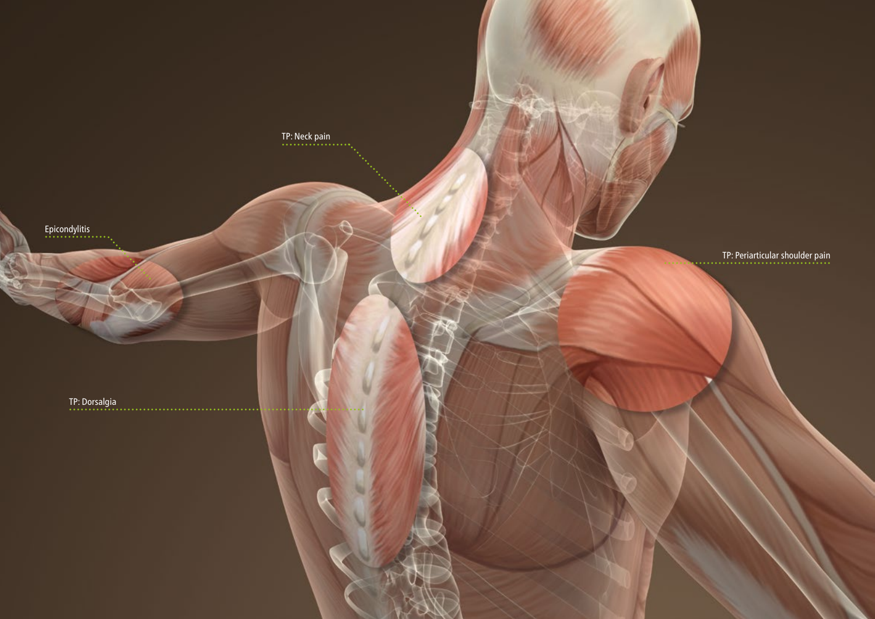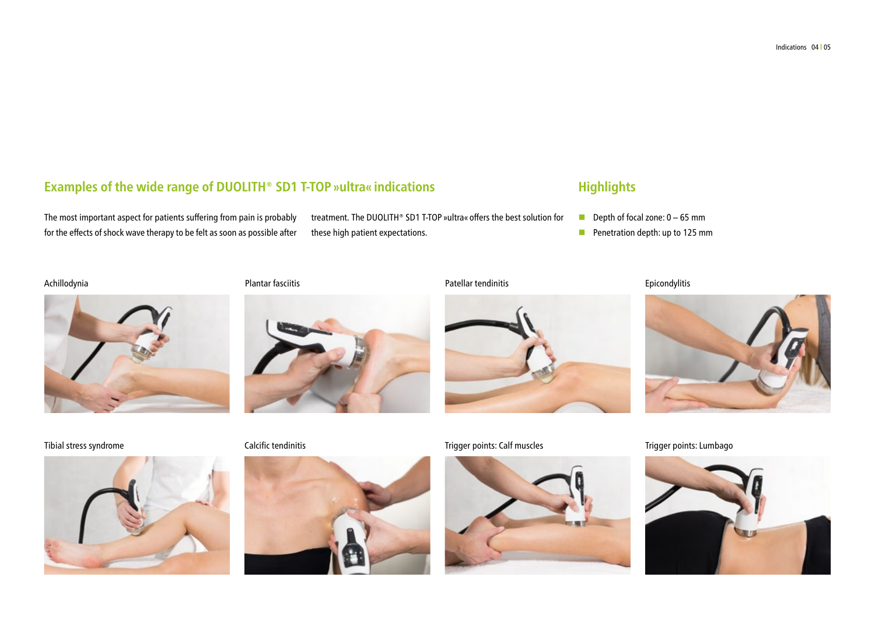## **Examples of the wide range of DUOLITH® SD1 T-TOP »ultra« indications The Community of the Wighlights**

The most important aspect for patients suffering from pain is probably for the effects of shock wave therapy to be felt as soon as possible after treatment. The DUOLITH® SD1 T-TOP »ultra« offers the best solution for these high patient expectations.

Patellar tendinitis

- Depth of focal zone:  $0 65$  mm
- **n** Penetration depth: up to 125 mm

Achillodynia **Plantar fasciitis** 



Tibial stress syndrome









Epicondylitis



### Calcific tendinitis **Trigger points: Calf muscles** Trigger points: Lumbago Calcific tendinitis



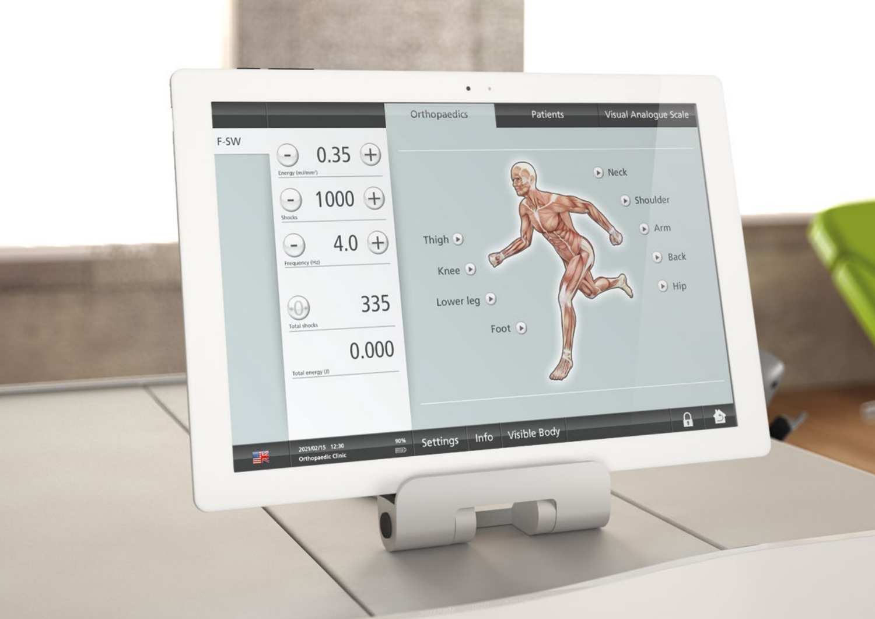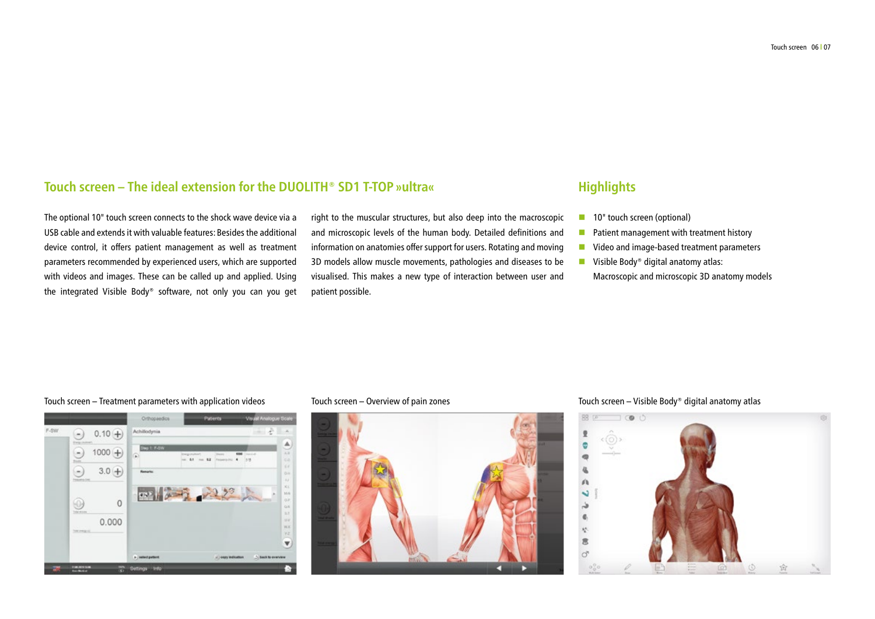## **Touch screen – The ideal extension for the DUOLITH® SD1 T-TOP »ultra«**

The optional 10" touch screen connects to the shock wave device via a USB cable and extends it with valuable features: Besides the additional device control, it offers patient management as well as treatment parameters recommended by experienced users, which are supported with videos and images. These can be called up and applied. Using the integrated Visible Body® software, not only you can you get right to the muscular structures, but also deep into the macroscopic and microscopic levels of the human body. Detailed definitions and information on anatomies offer support for users. Rotating and moving 3D models allow muscle movements, pathologies and diseases to be visualised. This makes a new type of interaction between user and patient possible.

## **Highlights**

- **n** 10" touch screen (optional)
- $\blacksquare$  Patient management with treatment history
- Video and image-based treatment parameters
- Visible Body<sup>®</sup> digital anatomy atlas: Macroscopic and microscopic 3D anatomy models

### Touch screen – Treatment parameters with application videos Touch screen – Overview of pain zones Touch screen example and Touch screen – Visible Body® digital anatomy atlas